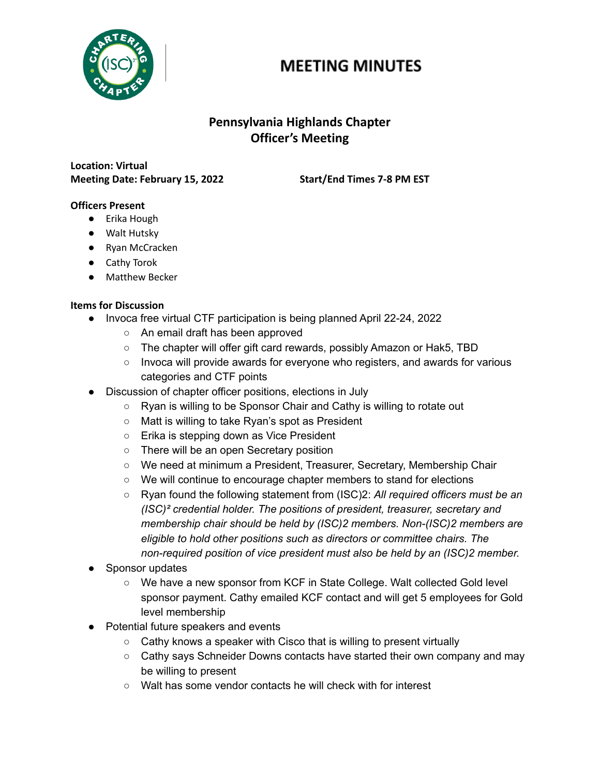

# **MEETING MINUTES**

## **Pennsylvania Highlands Chapter Officer's Meeting**

**Location: Virtual Meeting Date: February 15, 2022 Start/End Times 7-8 PM EST**

#### **Officers Present**

- Erika Hough
- Walt Hutsky
- Ryan McCracken
- Cathy Torok
- Matthew Becker

#### **Items for Discussion**

- Invoca free virtual CTF participation is being planned April 22-24, 2022
	- An email draft has been approved
	- The chapter will offer gift card rewards, possibly Amazon or Hak5, TBD
	- Invoca will provide awards for everyone who registers, and awards for various categories and CTF points
- Discussion of chapter officer positions, elections in July
	- Ryan is willing to be Sponsor Chair and Cathy is willing to rotate out
	- Matt is willing to take Ryan's spot as President
	- Erika is stepping down as Vice President
	- There will be an open Secretary position
	- We need at minimum a President, Treasurer, Secretary, Membership Chair
	- We will continue to encourage chapter members to stand for elections
	- Ryan found the following statement from (ISC)2: *All required officers must be an (ISC)² credential holder. The positions of president, treasurer, secretary and membership chair should be held by (ISC)2 members. Non-(ISC)2 members are eligible to hold other positions such as directors or committee chairs. The non-required position of vice president must also be held by an (ISC)2 member.*
- Sponsor updates
	- We have a new sponsor from KCF in State College. Walt collected Gold level sponsor payment. Cathy emailed KCF contact and will get 5 employees for Gold level membership
- Potential future speakers and events
	- Cathy knows a speaker with Cisco that is willing to present virtually
	- Cathy says Schneider Downs contacts have started their own company and may be willing to present
	- Walt has some vendor contacts he will check with for interest